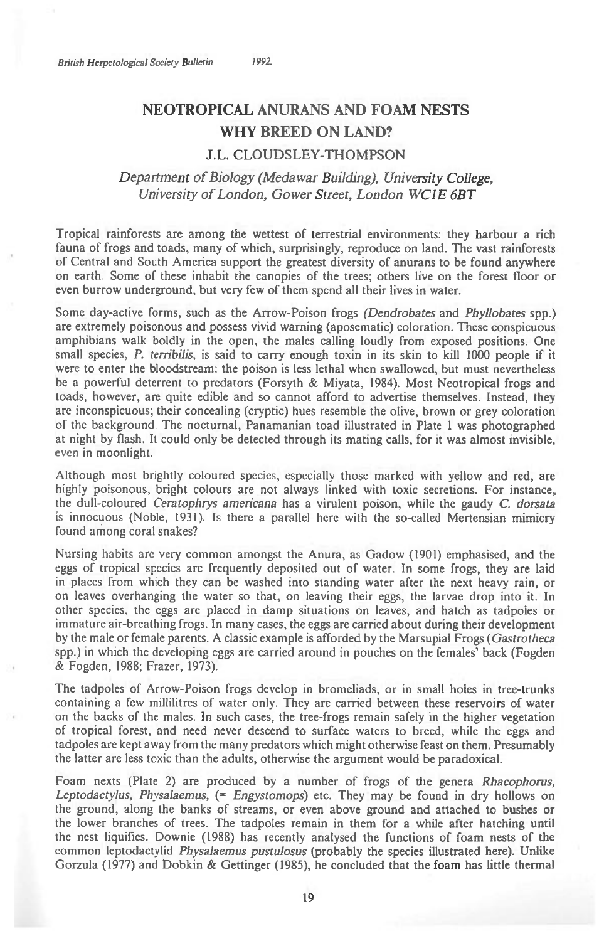## **NEOTROPICAL ANURANS AND FOAM NESTS WHY BREED ON LAND?**

## J.L. CLOUDSLEY-THOMPSON

## *Department of Biology (Medawar Building), University College, University of London, Gower Street, London WCIE 6BT*

Tropical rainforests are among the wettest of terrestrial environments: they harbour a rich fauna of frogs and toads, many of which, surprisingly, reproduce on land. The vast rainforests of Central and South America support the greatest diversity of anurans to be found anywhere on earth. Some of these inhabit the canopies of the trees; others live on the forest floor or even burrow underground, but very few of them spend all their lives in water.

Some day-active forms, such as the Arrow-Poison frogs *(Dendrobates* and *Phyllobates* spp.) are extremely poisonous and possess vivid warning (aposematic) coloration. These conspicuous amphibians walk boldly in the open, the males calling loudly from exposed positions. One small species, *P. terribilis,* is said to carry enough toxin in its skin to kill 1000 people if it were to enter the bloodstream: the poison is less lethal when swallowed, but must nevertheless be a powerful deterrent to predators (Forsyth & Miyata, 1984). Most Neotropical frogs and toads, however, are quite edible and so cannot afford to advertise themselves. Instead, they are inconspicuous; their concealing (cryptic) hues resemble the olive, brown or grey coloration of the background. The nocturnal, Panamanian toad illustrated in Plate 1 was photographed at night by flash. It could only be detected through its mating calls, for it was almost invisible, even in moonlight.

Although most brightly coloured species, especially those marked with yellow and red, are highly poisonous, bright colours are not always linked with toxic secretions. For instance, the dull-coloured *Ceratophrys americana* has a virulent poison, while the gaudy *C. dorsata*  is innocuous (Noble, 1931). Is there a parallel here with the so-called Mertensian mimicry found among coral snakes?

Nursing habits are very common amongst the Anura, as Gadow (1901) emphasised, and the eggs of tropical species are frequently deposited out of water. In some frogs, they are laid in places from which they can be washed into standing water after the next heavy rain, or on leaves overhanging the water so that, on leaving their eggs, the larvae drop into it. In other species, the eggs are placed in damp situations on leaves, and hatch as tadpoles or immature air-breathing frogs. In many cases, the eggs are carried about during their development by the male or female parents. A classic example is afforded by the Marsupial Frogs *(Gastrotheca*  spp.) in which the developing eggs are carried around in pouches on the females' back (Fogden & Fogden, 1988; Frazer, 1973).

The tadpoles of Arrow-Poison frogs develop in bromeliads, or in small holes in tree-trunks containing a few millilitres of water only. They are carried between these reservoirs of water on the backs of the males. In such cases, the tree-frogs remain safely in the higher vegetation of tropical forest, and need never descend to surface waters to breed, while the eggs and tadpoles are kept away from the many predators which might otherwise feast on them. Presumably the latter are less toxic than the adults, otherwise the argument would be paradoxical.

Foam nexts (Plate 2) are produced by a number of frogs of the genera *Rhacophorus, Leptodactylus, Physalaemus, (= Engystomops)* etc. They may be found in dry hollows on the ground, along the banks of streams, or even above ground and attached to bushes or the lower branches of trees. The tadpoles remain in them for a while after hatching until the nest liquifies. Downie (1988) has recently analysed the functions of foam nests of the common leptodactylid *Physalaemus pustulosus* (probably the species illustrated here). Unlike Gorzula (1977) and Dobkin & Gettinger (1985), he concluded that the foam has little thermal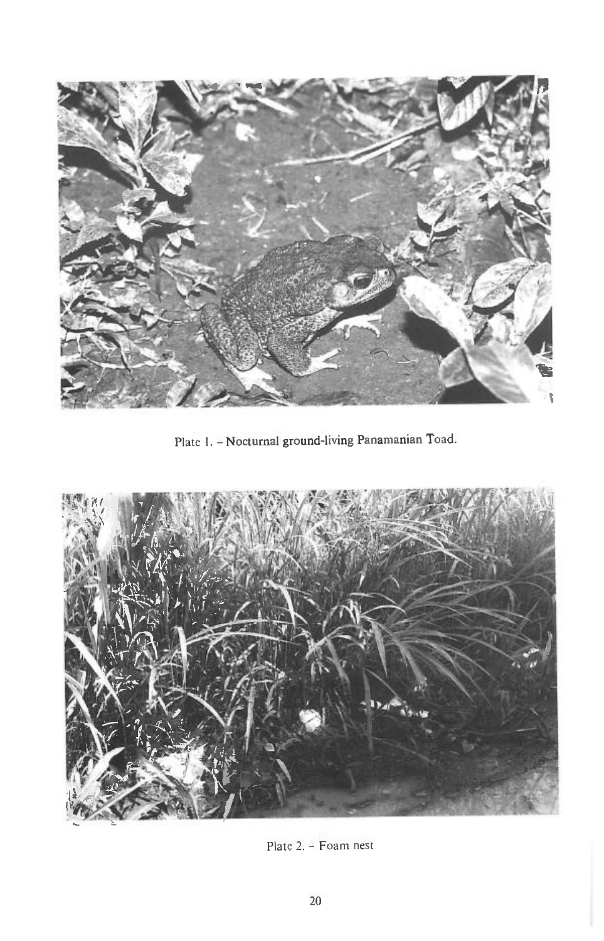

Plate I. - **Nocturnal ground-living Panamanian** Toad.



Plate 2. - Foam nest